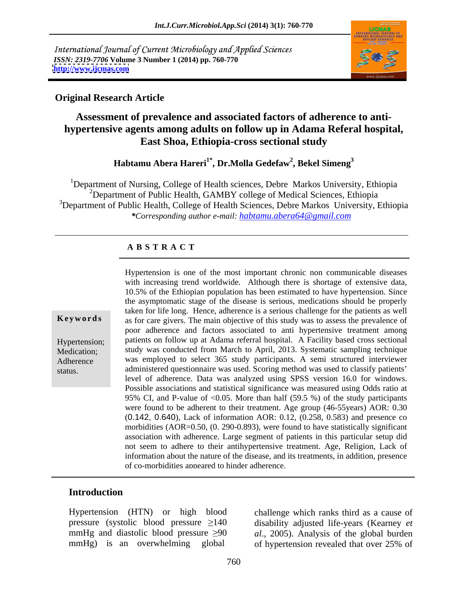International Journal of Current Microbiology and Applied Sciences *ISSN: 2319-7706* **Volume 3 Number 1 (2014) pp. 760-770 <http://www.ijcmas.com>**



## **Original Research Article**

## **Assessment of prevalence and associated factors of adherence to anti hypertensive agents among adults on follow up in Adama Referal hospital, East Shoa, Ethiopia-cross sectional study**

### $\bold{H}$ abtamu Abera Hareri $^{\bold{i}^\ast}$ , Dr.Molla Gedefaw $^2$ , Bekel Simeng $^3$ **, Bekel Simeng<sup>3</sup>**

<sup>1</sup>Department of Nursing, College of Health sciences, Debre Markos University, Ethiopia <sup>2</sup>Department of Public Health, GAMBY college of Medical Sciences, Ethiopia <sup>3</sup>Department of Public Health, College of Health Sciences, Debre Markos University, Ethiopia *\*Corresponding author e-mail: habtamu.abera64@gmail.com*

## **A B S T R A C T**

**Keywords** as for care givers. The main objective of this study was to assess the prevalence of Hypertension; patients on follow up at Adama referral hospital. A Facility based cross sectional Medication; study was conducted from March to April, 2013. Systematic sampling technique Adherence was employed to select 365 study participants. A semi structured interviewer status. administered questionnaire was used. Scoring method was used to classify patients Hypertension is one of the most important chronic non communicable diseases with increasing trend worldwide. Although there is shortage of extensive data, 10.5% of the Ethiopian population has been estimated to have hypertension. Since the asymptomatic stage of the disease is serious, medications should be properly taken for life long. Hence, adherence is a serious challenge for the patients as well poor adherence and factors associated to anti hypertensive treatment among level of adherence. Data was analyzed using SPSS version 16.0 for windows. Possible associations and statistical significance was measured using Odds ratio at 95% CI, and P-value of <0.05. More than half (59.5 %) of the study participants were found to be adherent to their treatment. Age group (46-55years) AOR: 0.30 (0.142, 0.640), Lack of information AOR: 0.12, (0.258, 0.583) and presence co morbidities (AOR=0.50, (0. 290-0.893), were found to have statistically significant association with adherence. Large segment of patients in this particular setup did not seem to adhere to their antihypertensive treatment. Age, Religion, Lack of information about the nature of the disease, and its treatments, in addition, presence of co-morbidities appeared to hinder adherence.

## **Introduction**

Hypertension (HTN) or high blood challenge which ranks third as a cause of pressure (systolic blood pressure 140 disability adjusted life-years (Kearney *et*  mmHg and diastolic blood pressure  $\geq 90$  *al.*, 2005). Analysis of the global burden

mmHg) is an overwhelming global of hypertension revealed that over 25% of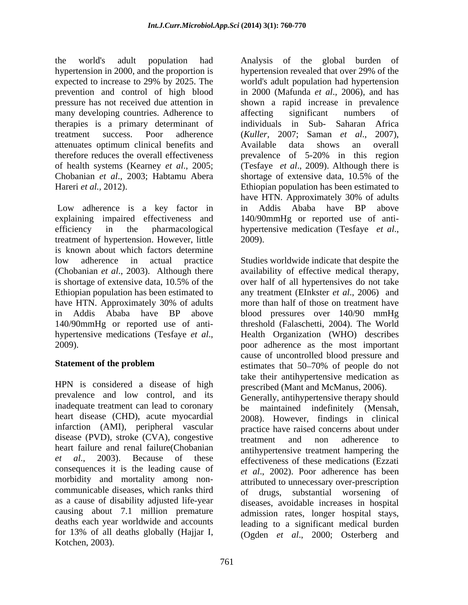the world's adult population had hypertension in 2000, and the proportion is expected to increase to 29% by 2025. The world's adult population had hypertension prevention and control of high blood in 2000 (Mafunda *et al.*, 2006), and has pressure has not received due attention in shown a rapid increase in prevalence many developing countries. Adherence to affecting significant numbers of therapies is a primary determinant of treatment success. Poor adherence (Kuller, 2007; Saman et al., 2007), attenuates optimum clinical benefits and therefore reduces the overall effectiveness being prevalence of 5-20% in this region of health systems (Kearney *et al*., 2005; (Tesfaye *et al*., 2009). Although there is Chobanian *et al*., 2003; Habtamu Abera Hareri *et al.*, 2012). **Ethiopian population has been estimated to** Ethiopian population has been estimated to

Low adherence is a key factor in in Addis Ababa have BP above explaining impaired effectiveness and 140/90mmHg or reported use of anti efficiency in the pharmacological hypertensive medication (Tesfaye et al., treatment of hypertension. However, little  $2009$ . is known about which factors determine low adherence in actual practice Studies worldwide indicate that despite the (Chobanian *et al*., 2003). Although there availability of effective medical therapy, is shortage of extensive data, 10.5% of the over half of all hypertensives do not take Ethiopian population has been estimated to have HTN. Approximately 30% of adults more than half of those on treatment have in Addis Ababa have BP above blood pressures over 140/90 mmHg 140/90mmHg or reported use of anti- threshold (Falaschetti, 2004). The World

HPN is considered a disease of high prevalence and low control, and its inadequate treatment can lead to coronary<br>be maintained indefinitely (Mensah, heart disease (CHD), acute myocardial 2008). However, findings in clinical infarction (AMI), peripheral vascular disease (PVD), stroke (CVA), congestive<br>treatment and non adherence to consequences it is the leading cause of morbidity and mortality among non communicable diseases, which ranks third of drugs, substantial worsening of as a cause of disability adjusted life-year causing about 7.1 million premature for 13% of all deaths globally (Hajjar I, (Ogden *et al*., 2000; Osterberg and

the world's and the political constraints of the global burden of the global burden of the global burden of the global burden of the global burden of the global burden of the global burden of the global burden of the glob hypertension revealed that over 29% of the world's adult population had hypertension affecting significant numbers of individuals in Sub- Saharan Africa (*Kuller,* 2007; Saman *et al*., 2007), Available data shows an overall prevalence of 5-20% in this region shortage of extensive data, 10.5% of the have HTN. Approximately 30% of adults in Addis Ababa have BP above hypertensive medication (Tesfaye *et al*., 2009).

hypertensive medications (Tesfaye *et al.*, <br>2009). <br>2009). <br>2009). **Statement of the problem** estimates that 50–70% of people do not over half of all hypertensives do not take any treatment (EInkster *et al*., 2006) and more than half of those on treatment have Health Organization (WHO) describes poor adherence as the most important cause of uncontrolled blood pressure and estimates that 50–70% of people do not take their antihypertensive medication as prescribed (Mant and McManus, 2006).

heart failure and renal failure(Chobanian antihypertensive treatment hampering the *et al*., 2003). Because of these effectiveness of these medications (Ezzati deaths each year worldwide and accounts leading to a significant medical burden Generally, antihypertensive therapy should be maintained indefinitely (Mensah, 2008). However, findings in clinical practice have raised concerns about under treatment and non adherence to *et al*., 2002). Poor adherence has been attributed to unnecessary over-prescription of drugs, substantial worsening of diseases, avoidable increases in hospital admission rates, longer hospital stays,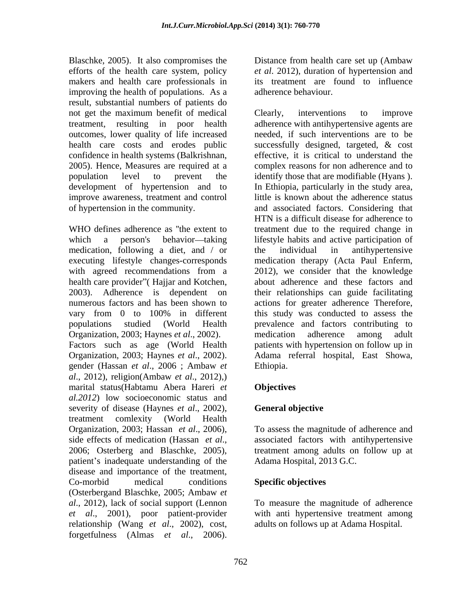Blaschke, 2005). It also compromises the Distance from health care set up (Ambaw efforts of the health care system, policy makers and health care professionals in improving the health of populations. As a result, substantial numbers of patients do not get the maximum benefit of medical Clearly, interventions to improve outcomes, lower quality of life increased confidence in health systems (Balkrishnan, 2005). Hence, Measures are required at a improve awareness, treatment and control

medication, following a diet, and / or executing lifestyle changes-corresponds medication therapy (Acta Paul Enferm, with agreed recommendations from a 2012), we consider that the knowledge Organization, 2003; Haynes *et al*., 2002). Factors such as age (World Health gender (Hassan *et al*., 2006 ; Ambaw *et al*., 2012), religion(Ambaw *et al*., 2012),) marital status(Habtamu Abera Hareri *et al.2012*) low socioeconomic status and severity of disease (Haynes *et al*., 2002), treatment comlexity (World Health Organization, 2003; Hassan *et al*., 2006), To assess the magnitude of adherence and side effects of medication (Hassan *et al.*, associated factors with antihypertensive 2006; Osterberg and Blaschke, 2005), treatment among adults on follow up at patient's inadequate understanding of the Adama Hospital, 20 disease and importance of the treatment, Co-morbid medical conditions **Specific objectives** (Osterbergand Blaschke, 2005; Ambaw *et al*., 2012), lack of social support (Lennon *et al*., 2001), poor patient-provider with anti hypertensive treatment among relationship (Wang *et al*., 2002), cost, **Forget in the componies for**  $\alpha$  **all the components (AOS). In also components (AOS), the components are probably and basis care probably in the terms of particular materials in the components are the matimum beach of part** 

*et al*. 2012), duration of hypertension and its treatment are found to influence adherence behaviour.

treatment, resulting in poor health adherence with antihypertensive agents are health care costs and erodes public successfully designed, targeted, & cost population level to prevent the identify those that are modifiable (Hyans ). development of hypertension and to In Ethiopia, particularly in the study area, of hypertension in the community. and associated factors. Considering that WHO defines adherence as "the extent to treatment due to the required change in which a person's behavior—taking lifestyle habits and active participation of health care provider" (Hajjar and Kotchen, about adherence and these factors and 2003). Adherence is dependent on their relationships can guide facilitating numerous factors and has been shown to actions for greater adherence Therefore, vary from 0 to 100% in different this study was conducted to assess the populations studied (World Health prevalence and factors contributing to Organization, 2003; Haynes *et al*., 2002). Adama referral hospital, East Showa, Clearly, interventions to improve needed, if such interventions are to be effective, it is critical to understand the complex reasons for non adherence and to little is known about the adherence status HTN is a difficult disease for adherence to the individual in antihypertensive medication therapy (Acta Paul Enferm, 2012), we consider that the knowledge this study was conducted to assess the medication adherence among adult patients with hypertension on follow up in Ethiopia.

## **Objectives**

## **General objective**

associated factors with antihypertensive treatment among adults on follow up at Adama Hospital, 2013 G.C.

**Specific objectives** To measure the magnitude of adherence adults on follows up at Adama Hospital.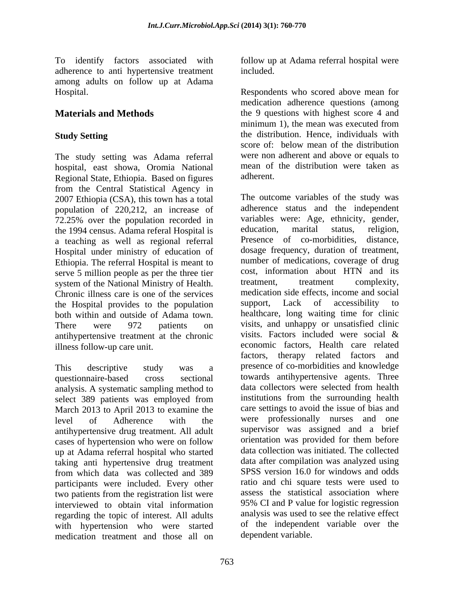To identify factors associated with follow up at Adama referral hospital were adherence to anti hypertensive treatment among adults on follow up at Adama

The study setting was Adama referral hospital, east showa, Oromia National mean of<br>Regional State Ethiopia Based on figures adherent. Regional State, Ethiopia. Based on figures from the Central Statistical Agency in<br>2007 Ethiopia (CSA), this town has a total The outcome variables of the study was 2007 Ethiopia (CSA), this town has a total population of 220,212, an increase of 72.25% over the population recorded in variables were: Age, ethnicity, gender, the 1994 census Adama referal Hospital is education. marital status, religion, the 1994 census. Adama referal Hospital is education, marital status, religion,<br>a teaching as well as regional referral Presence of co-morbidities, distance, a teaching as well as regional referral Hospital under ministry of education of Ethiopia. The referral Hospital is meant to serve 5 million people as per the three tier<br>system of the National Ministry of Health<br>treatment. treatment complexity. system of the National Ministry of Health. Chronic illness care is one of the services and medication side effects, income and social<br>the Hospital provides to the population support, Lack of accessibility to the Hospital provides to the population both within and outside of Adama town. antihypertensive treatment at the chronic visits. Factors included were social &

questionnaire-based cross sectional towards antihypertensive agents. Three analysis. A systematic sampling method to<br>select 389 patients was employed from institutions from the surrounding health select 389 patients was employed from March 2013 to April 2013 to examine the level of Adherence with the were professionally nurses and one antihypertensive drug treatment. All adult cases of hypertension who were on follow up at Adama referral hospital who started taking anti hypertensive drug treatment from which data was collected and 389 participants were included. Every other two patients from the registration list were assess the statistical association where interviewed to obtain vital information regarding the topic of interest. All adults with hypertension who were started medication treatment and those all on

included.

Hospital. Respondents who scored above mean for **Materials and Methods** the 9 questions with highest score 4 and **Study Setting** the distribution. Hence, individuals with medication adherence questions (among minimum 1), the mean was executed from the distribution. Hence, individuals with score of: below mean of the distribution were non adherent and above or equals to mean of the distribution were taken as adherent.<br>The outcome variables of the study was

There were 972 patients on visits, and unhappy or unsatisfied clinic illness follow-up care unit. economic factors, Health care related This descriptive study was a presence of co-morbidities and knowledge adherence status and the independent variables were: Age, ethnicity, gender, education, marital status, religion, Presence of co-morbidities, dosage frequency, duration of treatment, number of medications, coverage of drug cost, information about HTN and its treatment, treatment complexity, medication side effects, income and social support, Lack of accessibility to healthcare, long waiting time for clinic visits. Factors included were social & factors, therapy related factors and data collectors were selected from health institutions from the surrounding health care settings to avoid the issue of bias and supervisor was assigned and a brief orientation was provided for them before data collection was initiated. The collected data after compilation was analyzed using SPSS version 16.0 for windows and odds ratio and chi square tests were used to assess the statistical association where 95% CI and P value for logistic regression analysis was used to see the relative effect of the independent variable over the dependent variable.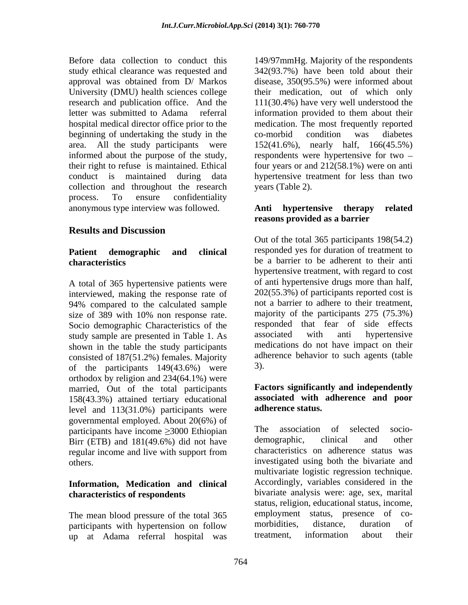Before data collection to conduct this 149/97mmHg. Majority of the respondents study ethical clearance was requested and 342(93.7%) have been told about their approval was obtained from D/ Markos University (DMU) health sciences college their medication, out of which only research and publication office. And the 111(30.4%) have very well understood the letter was submitted to Adama referral information provided to them about their hospital medical director office prior to the medication. The most frequently reported beginning of undertaking the study in the co-morbid condition was diabetes area. All the study participants were 152(41.6%), nearly half, 166(45.5%) informed about the purpose of the study, respondents were hypertensive for two their right to refuse is maintained. Ethical four years or and 212(58.1%) were on anti conduct is maintained during data hypertensive treatment for lessthan two collection and throughout the research process. To ensure confidentiality anonymous type interview was followed.

## **Results and Discussion**

A total of 365 hypertensive patients were interviewed, making the response rate of 94% compared to the calculated sample size of 389 with 10% non response rate. Socio demographic Characteristics of the responded that fear of side effects<br>study sample are presented in Table 1 As associated with anti hypertensive study sample are presented in Table 1. As shown in the table the study participants consisted of 187(51.2%) females. Majority adh<br>of the participants  $149(43.6%)$  were 3). of the participants 149(43.6%) were orthodox by religion and 234(64.1%) were married, Out of the total participants 158(43.3%) attained tertiary educational level and 113(31.0%) participants were governmental employed. About 20(6%) of<br>
participants have income >3000 Ethiopian The association of selected socioparticipants have income  $\geq$ 3000 Ethiopian The association of selected socio-<br>Birr (ETB) and 181(49.6%) did not have demographic, clinical and other Birr (ETB) and 181(49.6%) did not have regular income and live with support from

# **Information, Medication and clinical**

participants with hypertension on follow morbidities, distance, duration of<br>up at Adama referral bospital was treatment, information about their up at Adama referral hospital was

disease, 350(95.5%) were informed about co-morbid condition was diabetes years (Table 2).

## **Anti hypertensive therapy related reasons provided as a barrier**

**Patient demographic and clinical characteristics** be a barrier to be adherent to their anti Out of the total 365 participants 198(54.2) responded yes for duration of treatment to hypertensive treatment, with regard to cost of anti hypertensive drugs more than half, 202(55.3%) of participants reported cost is not a barrier to adhere to their treatment, majority of the participants 275 (75.3%) responded that fear of side effects associated with anti hypertensive medications do not have impact on their adherence behavior to such agents (table 3).

## **Factors significantly and independently associated with adherence and poor adherence status.**

others. investigated using both the bivariate and **characteristics of respondents** bivariate analysis were: age, sex, marital The mean blood pressure of the total 365 employment status, presence of co-<br>participants with hypertension on follow morbidities, distance, duration of The association of selected demographic, clinical and other characteristics on adherence status was multivariate logistic regression technique. Accordingly, variables considered in the status, religion, educational status, income, employment status, presence of morbidities, distance, duration of treatment, information about their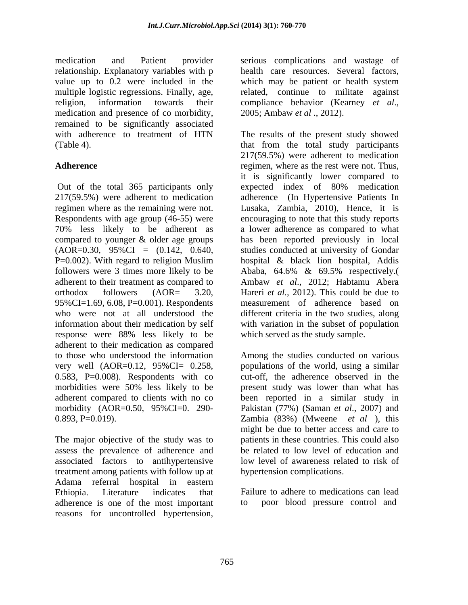relationship. Explanatory variables with p religion, information towards their compliance behavior (Kearney et al., medication and presence of co morbidity, 2005; Ambaw et al., 2012). remained to be significantly associated

Out of the total 365 participants only expected index of 80% medication 217(59.5%) were adherent to medication adherence (In Hypertensive Patients In regimen where as the remaining were not. Lusaka, Zambia, 2010), Hence, it is Respondents with age group (46-55) were encouraging to note that this study reports 70% less likely to be adherent as a lower adherence as compared to what compared to younger & older age groups has been reported previously in local  $(AOR=0.30, 95\%CI = (0.142, 0.640,$  studies conducted at university of Gondar P=0.002). With regard to religion Muslim hospital & black lion hospital, Addis followers were 3 times more likely to be  $\mu$  Ababa, 64.6% & 69.5% respectively. adherent to their treatment as compared to Ambaw *et al*., 2012; Habtamu Abera orthodox followers (AOR= 3.20, Hareri *et al.,* 2012). This could be due to 95%CI=1.69, 6.08, P=0.001). Respondents who were not at all understood the information about their medication by self with variation in the subset of population response were 88% less likely to be which served as the study sample. adherent to their medication as compared to those who understood the information Among the studies conducted on various very well (AOR=0.12, 95%CI= 0.258, populations of the world, using a similar 0.583, P=0.008). Respondents with co morbidities were 50% less likely to be adherent compared to clients with no co been reported in a similar study in morbidity (AOR=0.50, 95%CI=0. 290- Pakistan (77%) (Saman *et al*., 2007) and

The major objective of the study was to assess the prevalence of adherence and be related to low level of education and associated factors to antihypertensive treatment among patients with follow up at Adama referral hospital in eastern Ethiopia. Literature indicates that Failure to adhere to medications can lead adherence is one of the most important reasons for uncontrolled hypertension,

medication and Patient provider serious complications and wastage of value up to 0.2 were included in the which may be patient or health system multiple logistic regressions. Finally, age, related, continue to militate against health care resources. Several factors, compliance behavior (Kearney *et al*., 2005; Ambaw *et al* ., 2012).

with adherence to treatment of HTN The results of the present study showed (Table 4). that from the total study participants Adherence **regimen**, where as the rest were not. Thus, 217(59.5%) were adherent to medication it is significantly lower compared to expected index of 80% medication Ababa, 64.6% & 69.5% respectively.( measurement of adherence based on different criteria in the two studies, along which served as the study sample.

0.893, P=0.019). Zambia (83%) (Mweene *et al* ), this cut-off, the adherence observed in the present study was lower than what has might be due to better access and care to patients in these countries. This could also be related to low level of education and low level of awareness related to risk of hypertension complications.

poor blood pressure control and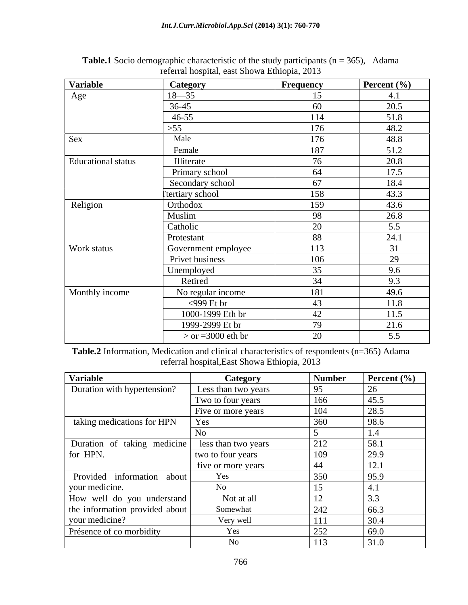| Variable           | Category            | Frequency | Percent $(\% )$ |
|--------------------|---------------------|-----------|-----------------|
| Age                | $18 - 35$           | 15        | 4.1             |
|                    | 36-45               | 60        | 20.5            |
|                    | 46-55               | 114       | 51.8            |
|                    | >55                 | 176       | 48.2            |
| Sex                | Male                | 176       | 48.8            |
|                    | Female              | 187       | 51.2            |
| Educational status | Illiterate          | 76        | 20.8            |
|                    | Primary school      | 64        | 17.5            |
|                    | Secondary school    | 67        | 18.4            |
|                    | Ttertiary school    | 158       | 43.3            |
| Religion           | Orthodox            | 159       | 43.6            |
|                    | Muslim              | 98        | 26.8            |
|                    | Catholic            | 20        | 5.5             |
|                    | Protestant          | 88        | 24.1            |
| Work status        | Government employee | 113       | 31              |
|                    | Privet business     | 106       | 29              |
|                    | Unemployed          | 35        | 9.6             |
|                    | Retired             | 34        | 9.3             |
| Monthly income     | No regular income   | 181       | 49.6            |
|                    | $<$ 999 Et br       | 43        | 11.8            |
|                    | 1000-1999 Eth br    | 42        | 11.5            |
|                    | 1999-2999 Et br     | 79        | 21.6            |
|                    | $>$ or =3000 eth br | 20        | 5.5             |

| <b>Table.1</b> Socio demographic characteristic of the study participants ( $n = 3$ )<br>$365$ ).<br>Adama |  |
|------------------------------------------------------------------------------------------------------------|--|
| l, east Showa Ethiopia, 2013<br>referra<br>hospital.                                                       |  |

**Table.2** Information, Medication and clinical characteristics of respondents (n=365) Adama referral hospital,East Showa Ethiopia, 2013

| Variable                       | Category            | <b>Number</b> | Percent $(\% )$ |
|--------------------------------|---------------------|---------------|-----------------|
| Duration with hypertension?    | Less than two years | 95            |                 |
|                                | Two to four years   | 166           | 45.5            |
|                                | Five or more years  | 104           | 28.5            |
| taking medications for HPN     | Yes                 | 360           | 98.6            |
|                                | NO.                 |               |                 |
| Duration of taking medicine    | less than two years | 212           | 58.1            |
| for HPN.                       | two to four years   | 109           | 29.9            |
|                                | five or more years  | 44            | 12.1            |
| Provided information about     | Yes                 | 350           | 95.9            |
| your medicine.                 | No                  |               |                 |
| How well do you understand     | Not at all          | 12            | 3.3             |
| the information provided about | Somewhat            | 242           | 66.3            |
| your medicine?                 | Very well           | 111           | 30.4            |
| Présence of co morbidity       | Yes                 | 252           | 69.0            |
|                                | No                  | 113           | 31.0            |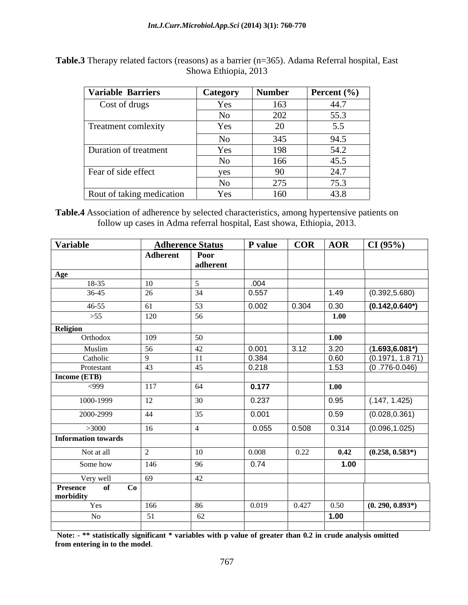| <b>Variable Barriers</b>  | Category | <b>Number</b> | <b>Percent</b> $(\% )$ |
|---------------------------|----------|---------------|------------------------|
| Cost of drugs             | Yes      | 163           | 44.7                   |
|                           | No       | 202           | 55.3                   |
| Treatment comlexity       | Yes      | 20            | 5.5                    |
|                           | No       | 345           | 94.5                   |
| Duration of treatment     | Yes      | 198           | 54.2                   |
|                           | No       | 166           | 45.5                   |
| Fear of side effect       | yes      | 90            | 24.7                   |
|                           | No       | 275           | 75.3                   |
| Rout of taking medication | Yes      | 160           | 43.8                   |

**Table.3** Therapy related factors (reasons) as a barrier (n=365). Adama Referral hospital, East<br>Showa Ethiopia, 2013 Showa Ethiopia, 2013

**Table.4** Association of adherence by selected characteristics, among hypertensive patients on follow up cases in Adma referral hospital, East showa, Ethiopia, 2013.

| Variable                                 |          | <b>Adherence Status</b> | P value | $COR$ $AOR$ |                    | CI(95%)            |
|------------------------------------------|----------|-------------------------|---------|-------------|--------------------|--------------------|
|                                          | Adherent | Poor                    |         |             |                    |                    |
|                                          |          | adherent                |         |             |                    |                    |
| Age                                      |          |                         |         |             |                    |                    |
| 18-35                                    | 10       |                         | .004    |             |                    |                    |
| 36-45                                    | 26       | 34                      | 0.557   |             | $\vert$ 1.49       | (0.392, 5.680)     |
| $46 - 55$                                | 61       | 53                      | 0.002   | 0.304       | 0.30               | $(0.142, 0.640^*)$ |
| >55                                      | 120      | -56                     |         |             | 1.00               |                    |
| Religion                                 |          |                         |         |             |                    |                    |
| Orthodox                                 | 109      | 50 F                    |         |             | $\vert 1.00 \vert$ |                    |
| Muslim                                   | 56       | 42                      | 0.001   | 3.12        | 3.20               | $(1.693, 6.081*)$  |
| Catholic                                 | $\Omega$ | 11                      | 0.384   |             | $\boxed{0.60}$     | (0.1971, 1.871)    |
| Protestant                               | 43       | 45                      | 0.218   |             | 1.53               | $(0.776-0.046)$    |
| Income (ETB)                             |          |                         |         |             |                    |                    |
| <999                                     | 117      | - 64                    | 0.177   |             | $\vert$ 1.00       |                    |
| 1000-1999                                | 12       | 30                      | 0.237   |             | 0.95               | (.147, 1.425)      |
| 2000-2999                                | 44       | 35                      | 0.001   |             | 0.59               | (0.028, 0.361)     |
| >3000                                    | 16       |                         | 0.055   | 0.508       | 0.314              | (0.096, 1.025)     |
| Information towards                      |          |                         |         |             |                    |                    |
| Not at all                               |          | $10^{-}$                | 0.008   | 0.22        | 0.42               | $(0.258, 0.583*)$  |
|                                          |          |                         |         |             |                    |                    |
| Some how                                 | 146      | 96                      | 0.74    |             | 1.00               |                    |
| Very well                                | 69       | 42                      |         |             |                    |                    |
| <b>Presence</b><br>of<br>Co<br>morbidity |          |                         |         |             |                    |                    |
| Yes                                      | 166      | 86                      | 0.019   | 0.427       | 0.50               | $(0.290, 0.893*)$  |
| No                                       | 51       | 62                      |         |             | $\vert$ 1.00       |                    |
|                                          |          |                         |         |             |                    |                    |

Note: - \*\* statistically significant \* variables with p value of greater than 0.2 in crude analysis omitted **from entering in to the model**.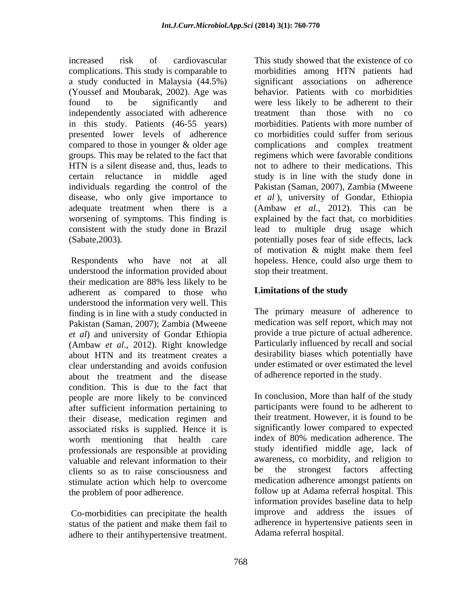increased risk of cardiovascular This study showed that the existence of co complications. This study is comparable to morbidities among HTN patients had a study conducted in Malaysia (44.5%) (Youssef and Moubarak, 2002). Age was behavior. Patients with co morbidities found to be significantly and were less likely to be adherent to their independently associated with adherence treatment than those with no co in this study. Patients (46-55 years) presented lower levels of adherence compared to those in younger & older age complications and complex treatment groups. This may be related to the fact that regimens which were favorable conditions HTN is a silent disease and, thus, leads to not to adhere to their medications. This certain reluctance in middle aged study is in line with the study done in individuals regarding the control of the Pakistan (Saman, 2007), Zambia (Mweene disease, who only give importance to *et al* ), university of Gondar, Ethiopia adequate treatment when there is a (Ambaw *et al*., 2012). This can be worsening of symptoms. This finding is explained by the fact that, co morbidities consistent with the study done in Brazil lead to multiple drug usage which (Sabate,2003). potentially poses fear of side effects, lack

understood the information provided about their medication are 88% less likely to be adherent as compared to those who understood the information very well. This finding is in line with a study conducted in Pakistan (Saman, 2007); Zambia (Mweene *et al*) and university of Gondar Ethiopia (Ambaw *et al*., 2012). Right knowledge about HTN and its treatment creates a clear understanding and avoids confusion about the treatment and the disease condition. This is due to the fact that people are more likely to be convinced after sufficient information pertaining to their disease, medication regimen and associated risks is supplied. Hence it is worth mentioning that health care index of 80% medication adherence. The professionals are responsible at providing valuable and relevant information to their<br>clients so as to raise consciousness and be the strongest factors affecting clients so as to raise consciousness and stimulate action which help to overcome increased<br>
increased in the conformation This study is comparable to morbitries among III's paireins tased<br>
a entry conducted in Markovin (M.5%) Agents and Solicity is significant<br>
of Consel and Morbarda, 2005). Age was b

Co-morbidities can precipitate the health

Respondents who have not at all hopeless. Hence, could also urge them to significant associations on adherence treatment than those with no co morbidities. Patients with more number of co morbidities could suffer from serious of motivation & might make them feel stop their treatment.

## **Limitations of the study**

The primary measure of adherence to medication was self report, which may not provide a true picture of actual adherence. Particularly influenced by recall and social desirability biases which potentially have under estimated or over estimated the level of adherence reported in the study.

the problem of poor adherence. follow up at Adama referral hospital. This status of the patient and make them fail to adherence in hypertensive patients seen in In conclusion, More than half of the study participants were found to be adherent to their treatment. However, it is found to be significantly lower compared to expected index of 80% medication adherence. The study identified middle age, lack of awareness, co morbidity, and religion to be the strongest factors affecting medication adherence amongst patients on information provides baseline data to help improve and address the issues of adherence in hypertensive patients seen in Adama referral hospital.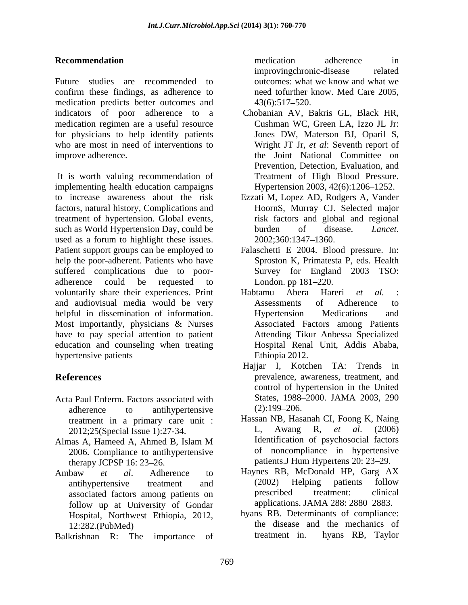Future studies are recommended to outcomes: what we know and what we confirm these findings, as adherence to medication predicts better outcomes and  $43(6):517-520$ . indicators of poor adherence to a medication regimen are a useful resource for physicians to help identify patients who are most in need of interventions to improve adherence. the Joint National Committee on

It is worth valuing recommendation of implementing health education campaigns Hypertension 2003, 42(6):1206 1252. to increase awareness about the risk Ezzati M, Lopez AD, Rodgers A, Vander factors, natural history, Complications and treatment of hypertension. Global events, such as World Hypertension Day, could be burden of disease. *Lancet*. used as a forum to highlight these issues. 2002;360:1347-1360. Patient support groups can be employed to Falaschetti E 2004. Blood pressure. In: help the poor-adherent. Patients who have suffered complications due to poor adherence could be requested to London. pp 181–220. voluntarily share their experiences. Print Habtamu Abera Hareri et al. and audiovisual media would be very helpful in dissemination of information. Hypertension Medications and Most importantly, physicians & Nurses have to pay special attention to patient education and counseling when treating hypertensive patients

- Acta Paul Enferm. Factors associated with<br>adherence to antihypertensive (2):199–206. adherence to antihypertensive (2):199–206. 2012;25(Special Issue 1):27-34.
- 2006. Compliance to antihypertensive therapy JCPSP 16: 23–26. The patients. J Hum Hypertens 20: 23–29.
- follow up at University of Gondar Hospital, Northwest Ethiopia, 2012,
- Balkrishnan R: The importance of treatment in. hyans RB, Taylor

**Recommendation** *Recommendation Recommendation n* medication adherence in improvingchronic-disease related outcomes: what we know and what we need tofurther know. Med Care 2005,  $43(6):517-520.$ 

- Chobanian AV, Bakris GL, Black HR, Cushman WC, Green LA, Izzo JL Jr: Jones DW, Materson BJ, Oparil S, Wright JT Jr, *et al*: Seventh report of Prevention, Detection, Evaluation, and Treatment of High Blood Pressure.
- HoornS, Murray CJ. Selected major risk factors and global and regional burden of disease. *Lancet*. 2002;360:1347 1360.
- Sproston K, Primatesta P, eds. Health Survey for England 2003 TSO: London. pp 181–220.
- Habtamu Abera Hareri *et al.* : Assessments of Adherence to Hypertension Medications and Associated Factors among Patients Attending Tikur Anbessa Specialized Hospital Renal Unit, Addis Ababa, Ethiopia 2012.
- **References** prevalence, awareness, treatment, and Hajjar I, Kotchen TA: Trends in control of hypertension in the United States, 1988-2000. JAMA 2003, 290  $(2):199-206.$
- treatment in a primary care unit : Hassan NB, Hassanah CI, Foong K, Naing<br>  $2012.25$ (Special Issue 1):27-34<br>
L. Awang R. *et al.* (2006) Almas A, Hameed A, Ahmed B, Islam M Hassan NB, Hasanah CI, Foong K, Naing L, Awang R, *et al*. (2006) Identification of psychosocial factors of noncompliance in hypertensive
- Ambaw *et al*. Adherence to Haynes RB, McDonald HP, Garg AX antihypertensive treatment and (2002) Helping patients follow associated factors among patients on prescribed treatment: clinical (2002) Helping patients follow prescribed treatment: clinical applications. JAMA 288: 2880-2883.
	- 12:282.(PubMed) the disease and the mechanics of hyans RB. Determinants of compliance: treatment in. hyans RB, Taylor